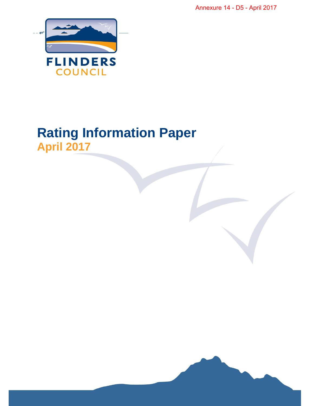Annexure 14 - D5 - April 2017



# **Rating Information Paper April 2017**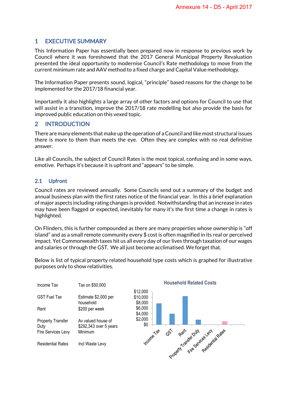## 1 EXECUTIVE SUMMARY

This Information Paper has essentially been prepared now in response to previous work by Council where it was foreshowed that the 2017 General Municipal Property Revaluation presented the ideal opportunity to modernise Council's Rate methodology to move from the current minimum rate and AAV method to a fixed charge and Capital Value methodology.

The Information Paper presents sound, logical, "principle" based reasons for the change to be implemented for the 2017/18 financial year.

Importantly it also highlights a large array of other factors and options for Council to use that will assist in a transition, improve the 2017/18 rate modelling but also provide the basis for improved public education on this vexed topic.

## 2 INTRODUCTION

There are many elements that make up the operation of a Council and like most structural issues there is more to them than meets the eye. Often they are complex with no real definitive answer.

Like all Councils, the subject of Council Rates is the most topical, confusing and in some ways, emotive. Perhaps it's because it is upfront and "appears" to be simple.

#### 2.1 Upfront

Council rates are reviewed annually. Some Councils send out a summary of the budget and annual business plan with the first rates notice of the financial year. In this a brief explanation of major aspects including rating changes is provided. Notwithstanding that an increase in rates may have been flagged or expected, inevitably for many it's the first time a change in rates is highlighted.

On Flinders, this is further compounded as there are many properties whose ownership is "off island" and as a small remote community every \$ cost is often magnified in its real or perceived impact. Yet Commonwealth taxes hit us all every day of our lives through taxation of our wages and salaries or through the GST. We all just become acclimatised. We forget that.

| Income Tax                                      | Tax on \$50,000                                         |
|-------------------------------------------------|---------------------------------------------------------|
| GST Fuel Tax                                    | Estimate \$2,000 per<br>household                       |
| Rent                                            | \$200 per week                                          |
| Property Transfer<br>Duty<br>Fire Services Levy | Av valued house of<br>\$292,343 over 5 years<br>Minimum |
| <b>Residential Rates</b>                        | Incl Waste Levy                                         |
|                                                 |                                                         |

Below is list of typical property related household type costs which is graphed for illustrative purposes only to show relativities.



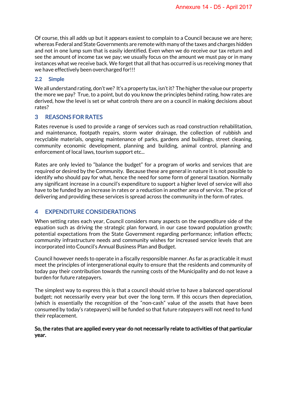Of course, this all adds up but it appears easiest to complain to a Council because we are here; whereas Federal and State Governments are remote with many of the taxes and charges hidden and not in one lump sum that is easily identified. Even when we do receive our tax return and see the amount of income tax we pay; we usually focus on the amount we must pay or in many instances what we receive back. We forget that all that has occurred is us receiving money that we have effectively been overcharged for!!!

#### 2.2 Simple

We all understand rating, don't we? It's a property tax, isn't it? The higher the value our property the more we pay? True, to a point, but do you know the principles behind rating, how rates are derived, how the level is set or what controls there are on a council in making decisions about rates?

## 3 REASONS FOR RATES

Rates revenue is used to provide a range of services such as road construction rehabilitation, and maintenance, footpath repairs, storm water drainage, the collection of rubbish and recyclable materials, ongoing maintenance of parks, gardens and buildings, street cleaning, community economic development, planning and building, animal control, planning and enforcement of local laws, tourism support etc...

Rates are only levied to "balance the budget" for a program of works and services that are required or desired by the Community. Because these are general in nature it is not possible to identify who should pay for what, hence the need for some form of general taxation. Normally any significant increase in a council's expenditure to support a higher level of service will also have to be funded by an increase in rates or a reduction in another area of service. The price of delivering and providing these services is spread across the community in the form of rates.

## 4 EXPENDITURE CONSIDERATIONS

When setting rates each year, Council considers many aspects on the expenditure side of the equation such as driving the strategic plan forward, in our case toward population growth; potential expectations from the State Government regarding performance; inflation effects; community infrastructure needs and community wishes for increased service levels that are incorporated into Council's Annual Business Plan and Budget.

Council however needs to operate in a fiscally responsible manner. As far as practicable it must meet the principles of intergenerational equity to ensure that the residents and community of today pay their contribution towards the running costs of the Municipality and do not leave a burden for future ratepayers.

The simplest way to express this is that a council should strive to have a balanced operational budget; not necessarily every year but over the long term. If this occurs then depreciation, (which is essentially the recognition of the "non-cash" value of the assets that have been consumed by today's ratepayers) will be funded so that future ratepayers will not need to fund their replacement.

#### So, the rates that are applied every year do not necessarily relate to activities of that particular year.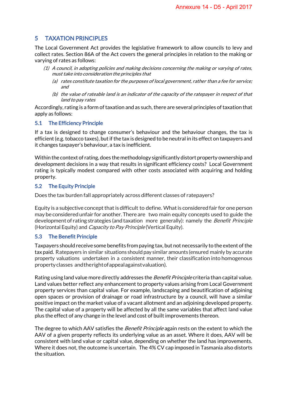## 5 TAXATION PRINCIPLES

The Local Government Act provides the legislative framework to allow councils to levy and collect rates. Section 86A of the Act covers the general principles in relation to the making or varying of rates as follows:

- (1) A council, in adopting policies and making decisions concerning the making or varying of rates, must take into consideration the principles that
	- (a) rates constitute taxation for the purposes of local government, rather than a fee for service; and
	- (b) the value of rateable land is an indicator of the capacity of the ratepayer in respect of that land to pay rates

Accordingly, rating is a form of taxation and as such, there are several principles of taxation that apply as follows:

#### 5.1 The Efficiency Principle

If a tax is designed to change consumer's behaviour and the behaviour changes, the tax is efficient (e.g. tobacco taxes), but if the tax is designed to be neutral in its effect on taxpayers and it changes taxpayer's behaviour, a tax is inefficient.

Within the context of rating, does the methodology significantly distort property ownership and development decisions in a way that results in significant efficiency costs? Local Government rating is typically modest compared with other costs associated with acquiring and holding property.

#### 5.2 The Equity Principle

Does the tax burden fall appropriately across different classes of ratepayers?

Equity is a subjective concept that is difficult to define. What is considered fair for one person may be consideredunfair for another.Thereare two main equity concepts used to guide the development of rating strategies (and taxation more generally): namely the Benefit Principle (Horizontal Equity) and *Capacity to Pay Principle* (Vertical Equity).

#### 5.3 The Benefit Principle

Taxpayers should receive some benefits from paying tax, but not necessarily to the extent of the tax paid. Ratepayers in similar situations shouldpay similar amounts (ensured mainly by accurate property valuations undertaken in a consistent manner, their classification into homogenous propertyclasses andtherightofappealagainstvaluation).

Rating using land value more directly addresses the *Benefit Principle* criteria than capital value. Land values better reflect any enhancement to property values arising from Local Government property services than capital value. For example, landscaping and beautification of adjoining open spaces or provision of drainage or road infrastructure by a council, will have a similar positive impact on the market value of a vacant allotment and an adjoining developed property. The capital value of a property will be affected by all the same variables that affect land value plus the effect of any change in the level and cost of built improvements thereon.

The degree to which AAV satisfies the *Benefit Principle* again rests on the extent to which the AAV of a given property reflects its underlying value as an asset. Where it does, AAV will be consistent with land value or capital value, depending on whether the land has improvements. Where it does not, the outcome is uncertain. The 4% CV cap imposed in Tasmania also distorts the situation.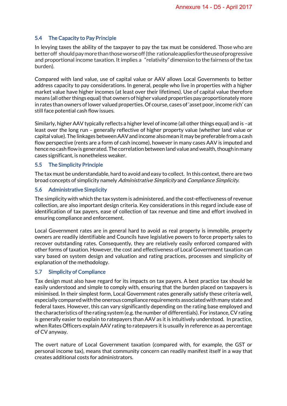#### 5.4 The Capacity to Pay Principle

In levying taxes the ability of the taxpayer to pay the tax must be considered. Those who are better off should pay more than those worse off (the rationale applies for the use of progressive and proportional income taxation. It implies a "relativity" dimension to the fairness of the tax burden).

Compared with land value, use of capital value or AAV allows Local Governments to better address capacity to pay considerations. In general, people who live in properties with a higher market value have higher incomes (at least over their lifetimes). Use of capital value therefore means (all other things equal) that owners of higher valued properties pay proportionately more in rates than owners of lower valued properties. Of course, cases of 'asset poor, income rich' can still face potential cash flow issues.

Similarly, higher AAV typically reflects a higher level of income (all other things equal) and is –at least over the long run – generally reflective of higher property value (whether land value or capital value). The linkages between AAV and income also mean it may be preferable from a cash flow perspective (rents are a form of cash income), however in many cases AAV is imputed and hence no cash flow is generated. The correlation between land value and wealth, though in many cases significant, is nonetheless weaker.

#### 5.5 The Simplicity Principle

The tax must be understandable, hard to avoid and easy to collect. In this context, there are two broad concepts of simplicity namely Administrative Simplicity and Compliance Simplicity.

#### 5.6 Administrative Simplicity

The simplicity with which the tax system is administered, and the cost-effectiveness of revenue collection, are also important design criteria. Key considerations in this regard include ease of identification of tax payers, ease of collection of tax revenue and time and effort involved in ensuring compliance and enforcement.

Local Government rates are in general hard to avoid as real property is immobile, property owners are readily identifiable and Councils have legislative powers to force property sales to recover outstanding rates. Consequently, they are relatively easily enforced compared with other forms of taxation. However, the cost and effectiveness of Local Government taxation can vary based on system design and valuation and rating practices, processes and simplicity of explanation of the methodology.

#### 5.7 Simplicity of Compliance

Tax design must also have regard for its impacts on tax payers. A best practice tax should be easily understood and simple to comply with, ensuring that the burden placed on taxpayers is minimised. In their simplest form, Local Government rates generally satisfy these criteria well, especially compared with the onerous compliance requirements associated with many state and federal taxes. However, this can vary significantly depending on the rating base employed and the characteristics of the rating system (e.g. the number of differentials). For instance, CV rating is generally easier to explain to ratepayers than AAV as it is intuitively understood. In practice, when Rates Officers explain AAV rating to ratepayers it is usually in reference as aa percentage of CV anyway.

The overt nature of Local Government taxation (compared with, for example, the GST or personal income tax), means that community concern can readily manifest itself in a way that creates additional costs for administrators.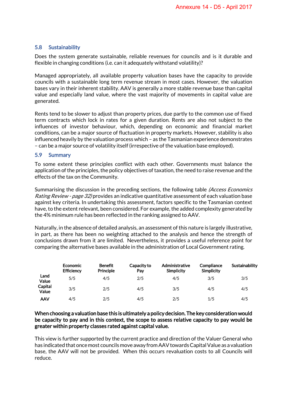#### 5.8 Sustainability

Does the system generate sustainable, reliable revenues for councils and is it durable and flexible in changing conditions (i.e. can it adequately withstand volatility)?

Managed appropriately, all available property valuation bases have the capacity to provide councils with a sustainable long term revenue stream in most cases. However, the valuation bases vary in their inherent stability. AAV is generally a more stable revenue base than capital value and especially land value, where the vast majority of movements in capital value are generated.

Rents tend to be slower to adjust than property prices, due partly to the common use of fixed term contracts which lock in rates for a given duration. Rents are also not subject to the influences of investor behaviour, which, depending on economic and financial market conditions, can be a major source of fluctuation in property markets. However, stability is also influenced heavily by the valuation process which – as the Tasmanian experience demonstrates – can be a major source of volatility itself (irrespective of the valuation base employed).

#### 5.9 Summary

To some extent these principles conflict with each other. Governments must balance the application of the principles, the policy objectives of taxation, the need to raise revenue and the effects of the tax on the Community.

Summarising the discussion in the preceding sections, the following table (Access Economics Rating Review - page 32) provides an indicative quantitative assessment of each valuation base against key criteria. In undertaking this assessment, factors specific to the Tasmanian context have, to the extent relevant, been considered. For example, the added complexity generated by the 4% minimum rule has been reflected in the ranking assigned to AAV.

Naturally, in the absence of detailed analysis, an assessment of this nature is largely illustrative, in part, as there has been no weighting attached to the analysis and hence the strength of conclusions drawn from it are limited. Nevertheless, it provides a useful reference point for comparing the alternative bases available in the administration of Local Government rating.

|                  | <b>Economic</b><br><b>Efficiency</b> | <b>Benefit</b><br><b>Principle</b> | Capacity to<br>Pay | Administrative<br>Simplicity | Compliance<br>Simplicity | Sustainability |
|------------------|--------------------------------------|------------------------------------|--------------------|------------------------------|--------------------------|----------------|
| Land<br>Value    | 5/5                                  | 4/5                                | 2/5                | 4/5                          | 3/5                      | 3/5            |
| Capital<br>Value | 3/5                                  | 2/5                                | 4/5                | 3/5                          | 4/5                      | 4/5            |
| AAV              | 4/5                                  | 2/5                                | 4/5                | 2/5                          | 1/5                      | 4/5            |

#### When choosing a valuation base this is ultimately a policy decision. The key consideration would be capacity to pay and in this context, the scope to assess relative capacity to pay would be greater within property classes rated against capital value.

This view is further supported by the current practice and direction of the Valuer General who has indicated that once most councils move away from AAV towards Capital Value as a valuation base, the AAV will not be provided. When this occurs revaluation costs to all Councils will reduce.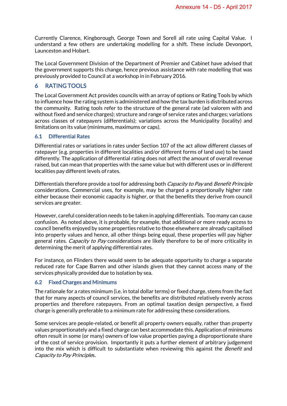Currently Clarence, Kingborough, George Town and Sorell all rate using Capital Value. I understand a few others are undertaking modelling for a shift. These include Devonport, Launceston and Hobart.

The Local Government Division of the Department of Premier and Cabinet have advised that the government supports this change, hence previous assistance with rate modelling that was previously provided to Council at a workshop in in February 2016.

## 6 RATING TOOLS

The Local Government Act provides councils with an array of options or Rating Tools by which to influence how the rating system is administered and how the tax burden is distributed across the community. Rating tools refer to the structure of the general rate (ad valorem with and without fixed and service charges); structure and range of service rates and charges; variations across classes of ratepayers (differentials); variations across the Municipality (locality) and limitations on its value (minimums, maximums or caps).

#### 6.1 Differential Rates

Differential rates or variations in rates under Section 107 of the act allow different classes of ratepayer (e.g. properties in different localities and/or different forms of land use) to be taxed differently. The application of differential rating does not affect the amount of overall revenue raised, but can mean that properties with the same value but with different uses or in different localities pay different levels of rates.

Differentials therefore provide a tool for addressing both *Capacity to Pay* and *Benefit Principle* considerations. Commercial uses, for example, may be charged a proportionally higher rate either because their economic capacity is higher, or that the benefits they derive from council services are greater.

However, careful consideration needs to be taken in applying differentials. Too many can cause confusion. As noted above, it is probable, for example, that additional or more ready access to council benefits enjoyed by some properties relative to those elsewhere are already capitalised into property values and hence, all other things being equal, these properties will pay higher general rates. Capacity to Pay considerations are likely therefore to be of more criticality in determining the merit of applying differential rates.

For instance, on Flinders there would seem to be adequate opportunity to charge a separate reduced rate for Cape Barren and other islands given that they cannot access many of the services physically provided due to isolation by sea.

#### 6.2 Fixed Charges and Minimums

The rationale for a rates minimum (i.e. in total dollar terms) or fixed charge, stems from the fact that for many aspects of council services, the benefits are distributed relatively evenly across properties and therefore ratepayers. From an optimal taxation design perspective, a fixed charge is generally preferable to a minimum rate for addressing these considerations.

Some services are people-related, or benefit all property owners equally, rather than property values proportionately and a fixed charge can best accommodate this. Application of minimums often result in some (or many) owners of low value properties paying a disproportionate share of the cost of service provision. Importantly it puts a further element of arbitrary judgement into the mix which is difficult to substantiate when reviewing this against the *Benefit* and Capacity to Pay Principles.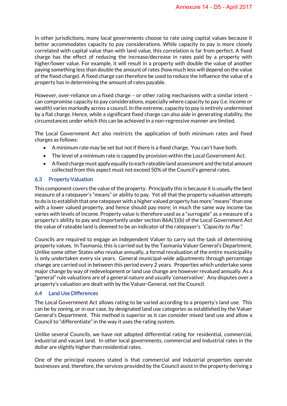In other jurisdictions, many local governments choose to rate using capital values because it better accommodates capacity to pay considerations. While capacity to pay is more closely correlated with capital value than with land value, this correlation is far from perfect. A fixed charge has the effect of reducing the increase/decrease in rates paid by a property with higher/lower value. For example, it will result in a property with double the value of another paying something less than double the amount of rates (how much less will depend on the value of the fixed charge). A fixed charge can therefore be used to reduce the influence the value of a property has in determining the amount of rates payable.

However, over-reliance on a fixed charge – or other rating mechanisms with a similar intent – can compromise capacity to pay considerations, especially where capacity to pay (i.e. income or wealth) varies markedly across a council. In the extreme, capacity to pay is entirely undermined by a flat charge. Hence, while a significant fixed charge can also aide in generating stability, the circumstances under which this can be achieved in a non-regressive manner are limited.

The Local Government Act also restricts the application of both minimum rates and fixed charges as follows:

- A minimum rate may be set but not if there is a fixed charge. You can't have both.
- The level of a minimum rate is capped by provision within the Local Government Act.
- A fixed charge must apply equally to each rateable land assessment and the total amount collected from this aspect must not exceed 50% of the Council's general rates.

#### 6.3 Property Valuation

This component covers the value of the property. Principally this is because it is usually the best measure of a ratepayer's "means" or ability to pay. Yet all that the property valuation attempts to do is to establish that one ratepayer with a higher valued property has more "means" than one with a lower valued property, and hence should pay more; in much the same way income tax varies with levels of income. Property value is therefore used as a "surrogate" as a measure of a property's ability to pay and importantly under section 86A(1)(b) of the Local Government Act the value of rateable land is deemed to be an indicator of the ratepayer's "Capacity to Pay".

Councils are required to engage an independent Valuer to carry out the task of determining property values. In Tasmania, this is carried out by the Tasmania Valuer General's Department. Unlike some other States who revalue annually, a formal revaluation of the entire municipality is only undertaken every six years. General municipal-wide adjustments through percentage change are carried out in between this period every 2 years. Properties which undertake some major change by way of redevelopment or land use change are however revalued annually. As a "general" rule valuations are of a general nature and usually 'conservative'. Any disputes over a property's valuation are dealt with by the Valuer-General, not the Council.

#### 6.4 Land Use Differences

The Local Government Act allows rating to be varied according to a property's land use. This can be by zoning, or in our case, by designated land use categories as established by the Valuer General's Department. This method is superior as it can consider mixed land use and allow a Council to "differentiate" in the way it uses the rating system.

Unlike several Councils, we have not adopted differential rating for residential, commercial, industrial and vacant land. In other local governments, commercial and industrial rates in the dollar are slightly higher than residential rates.

One of the principal reasons stated is that commercial and industrial properties operate businesses and, therefore, the services provided by the Council assist in the property deriving a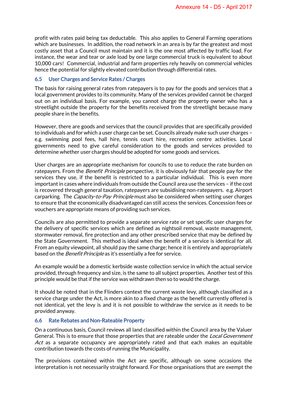profit with rates paid being tax deductable. This also applies to General Farming operations which are businesses. In addition, the road network in an area is by far the greatest and most costly asset that a Council must maintain and it is the one most affected by traffic load. For instance, the wear and tear or axle load by one large commercial truck is equivalent to about 10,000 cars! Commercial, industrial and farm properties rely heavily on commercial vehicles hence the potential for slightly elevated contribution through differential rates.

#### 6.5 User Charges and Service Rates / Charges

The basis for raising general rates from ratepayers is to pay for the goods and services that a local government provides to its community. Many of the services provided cannot be charged out on an individual basis. For example, you cannot charge the property owner who has a streetlight outside the property for the benefits received from the streetlight because many people share in the benefits.

However, there are goods and services that the council provides that are specifically provided to individuals and for which a user charge can be set. Councils already make such user charges – e.g. swimming pool fees, hall hire, tennis court hire, recreation centre activities. Local governments need to give careful consideration to the goods and services provided to determine whether user charges should be adopted for some goods and services.

User charges are an appropriate mechanism for councils to use to reduce the rate burden on ratepayers. From the *Benefit Principle* perspective, it is obviously fair that people pay for the services they use, if the benefit is restricted to a particular individual. This is even more important in cases where individuals from outside the Council area use the services – if the cost is recovered through general taxation, ratepayers are subsidising non-ratepayers. e.g. Airport carparking. The *Capacity-to-Pay Principle* must also be considered when setting user charges to ensure that the economically disadvantaged can still access the services. Concession fees or vouchers are appropriate means of providing such services.

Councils are also permitted to provide a separate service rate or set specific user charges for the delivery of specific services which are defined as nightsoil removal, waste management, stormwater removal, fire protection and any other prescribed service that may be defined by the State Government. This method is ideal when the benefit of a service is identical for all. From an equity viewpoint, all should pay the same charge; hence it is entirely and appropriately based on the Benefit Principle as it's essentially a fee for service.

An example would be a domestic kerbside waste collection service in which the actual service provided, through frequency and size, is the same to all subject properties. Another test of this principle would be that if the service was withdrawn then so to would the charge.

It should be noted that in the Flinders context the current waste levy, although classified as a service charge under the Act, is more akin to a fixed charge as the benefit currently offered is not identical, yet the levy is and it is not possible to withdraw the service as it needs to be provided anyway.

#### 6.6 Rate Rebates and Non-Rateable Property

On a continuous basis, Council reviews all land classified within the Council area by the Valuer General. This is to ensure that those properties that are rateable under the *Local Government* Act as a separate occupancy are appropriately rated and that each makes an equitable contribution towards the costs of running the Municipality.

The provisions contained within the Act are specific, although on some occasions the interpretation is not necessarily straight forward. For those organisations that are exempt the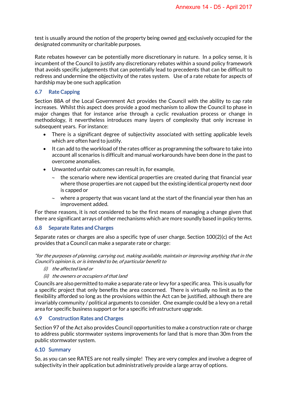test is usually around the notion of the property being owned and exclusively occupied for the designated community or charitable purposes.

Rate rebates however can be potentially more discretionary in nature. In a policy sense, it is incumbent of the Council to justify any discretionary rebates within a sound policy framework that avoids specific judgements that can potentially lead to precedents that can be difficult to redress and undermine the objectivity of the rates system. Use of a rate rebate for aspects of hardship may be one such application

#### 6.7 Rate Capping

Section 88A of the Local Government Act provides the Council with the ability to cap rate increases. Whilst this aspect does provide a good mechanism to allow the Council to phase in major changes that for instance arise through a cyclic revaluation process or change in methodology, it nevertheless introduces many layers of complexity that only increase in subsequent years. For instance:

- There is a significant degree of subjectivity associated with setting applicable levels which are often hard to justify.
- It can add to the workload of the rates officer as programming the software to take into account all scenarios is difficult and manual workarounds have been done in the past to overcome anomalies.
- Unwanted unfair outcomes can result in, for example,
	- $\sim$  the scenario where new identical properties are created during that financial year where those properties are not capped but the existing identical property next door is capped or
	- $\sim$  where a property that was vacant land at the start of the financial year then has an improvement added.

For these reasons, it is not considered to be the first means of managing a change given that there are significant arrays of other mechanisms which are more soundly based in policy terms.

#### 6.8 Separate Rates and Charges

Separate rates or charges are also a specific type of user charge. Section 100(2)(c) of the Act provides that a Council can make a separate rate or charge:

"for the purposes of planning, carrying out, making available, maintain or improving anything that in the Council's opinion is, or is intended to be, of particular benefit to

- (i) the affected land or
- (ii) the owners or occupiers of that land

Councils are also permitted to make a separate rate or levy for a specific area. This is usually for a specific project that only benefits the area concerned. There is virtually no limit as to the flexibility afforded so long as the provisions within the Act can be justified, although there are invariably community / political arguments to consider. One example could be a levy on a retail area for specific business support or for a specific infrastructure upgrade.

#### 6.9 Construction Rates and Charges

Section 97 of the Act also provides Council opportunities to make a construction rate or charge to address public stormwater systems improvements for land that is more than 30m from the public stormwater system.

#### 6.10 Summary

So, as you can see RATES are not really simple! They are very complex and involve a degree of subjectivity in their application but administratively provide a large array of options.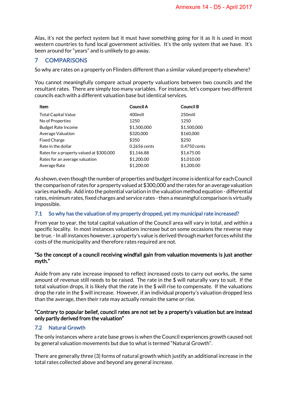Alas, it's not the perfect system but it must have something going for it as it is used in most western countries to fund local government activities. It's the only system that we have. It's been around for "years" and is unlikely to go away.

## 7 COMPARISONS

So why are rates on a property on Flinders different than a similar valued property elsewhere?

You cannot meaningfully compare actual property valuations between two councils and the resultant rates. There are simply too many variables. For instance, let's compare two different councils each with a different valuation base but identical services.

| Item                                     | Council A    | <b>Council B</b> |
|------------------------------------------|--------------|------------------|
| <b>Total Capital Value</b>               | 400mill      | 250mill          |
| No of Properties                         | 1250         | 1250             |
| <b>Budget Rate Income</b>                | \$1,500,000  | \$1,500,000      |
| Average Valuation                        | \$320,000    | \$160,000        |
| <b>Fixed Charge</b>                      | \$350        | \$250            |
| Rate in the dollar                       | 0.2656 cents | 0.4750 cents     |
| Rates for a property valued at \$300,000 | \$1,146.88   | \$1,675.00       |
| Rates for an average valuation           | \$1,200.00   | \$1,010.00       |
| Average Rate                             | \$1,200.00   | \$1,200.00       |

As shown, even though the number of properties and budget income is identical for each Council the comparison of rates for a property valued at \$300,000 and the rates for an average valuation varies markedly. Add into the potential variation in the valuation method equation - differential rates, minimum rates, fixed charges and service rates - then a meaningful comparison is virtually impossible.

#### 7.1 So why has the valuation of my property dropped, yet my municipal rate increased?

From year to year, the total capital valuation of the Council area will vary in total, and within a specific locality. In most instances valuations increase but on some occasions the reverse may be true. - In all instances however, a property's value is derived through market forces whilst the costs of the municipality and therefore rates required are not.

#### "So the concept of a council receiving windfall gain from valuation movements is just another myth."

Aside from any rate increase imposed to reflect increased costs to carry out works, the same amount of revenue still needs to be raised. The rate in the \$ will naturally vary to suit. If the total valuation drops, it is likely that the rate in the \$ will rise to compensate. If the valuations drop the rate in the \$ will increase. However, if an individual property's valuation dropped less than the average, then their rate may actually remain the same or rise.

#### "Contrary to popular belief, council rates are not set by a property's valuation but are instead only partly derived from the valuation"

## 7.2 Natural Growth

The only instances where a rate base grows is when the Council experiences growth caused not by general valuation movements but due to what is termed "Natural Growth".

There are generally three (3) forms of natural growth which justify an additional increase in the total rates collected above and beyond any general increase.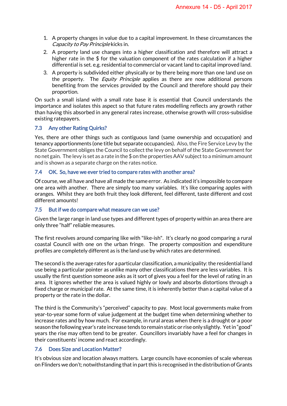- 1. A property changes in value due to a capital improvement. In these circumstances the Capacity to Pay Principle kicks in.
- 2. A property land use changes into a higher classification and therefore will attract a higher rate in the \$ for the valuation component of the rates calculation if a higher differential is set. e.g. residential to commercial or vacant land to capital improved land.
- 3. A property is subdivided either physically or by there being more than one land use on the property. The *Equity Principle* applies as there are now additional persons benefiting from the services provided by the Council and therefore should pay their proportion.

On such a small island with a small rate base it is essential that Council understands the importance and isolates this aspect so that future rates modelling reflects any growth rather than having this absorbed in any general rates increase, otherwise growth will cross-subsidise existing ratepayers.

#### 7.3 Any other Rating Quirks?

Yes, there are other things such as contiguous land (same ownership and occupation) and tenancy apportionments (one title but separate occupancies). Also, the Fire Service Levy by the State Government obliges the Council to collect the levy on behalf of the State Government for no net gain. The levy is set as a rate in the \$ on the properties AAV subject to a minimum amount and is shown as a separate charge on the rates notice.

#### 7.4 OK. So, have we ever tried to compare rates with another area?

Of course, we all have and have all made the same error. As indicated it's impossible to compare one area with another. There are simply too many variables. It's like comparing apples with oranges. Whilst they are both fruit they look different, feel different, taste different and cost different amounts!

#### 7.5 But if we do compare what measure can we use?

Given the large range in land use types and different types of property within an area there are only three "half" reliable measures.

The first revolves around comparing like with "like-ish". It's clearly no good comparing a rural coastal Council with one on the urban fringe. The property composition and expenditure profiles are completely different as is the land use by which rates are determined.

The second is the average rates for a particular classification, a municipality: the residential land use being a particular pointer as unlike many other classifications there are less variables. It is usually the first question someone asks as it sort of gives you a feel for the level of rating in an area. It ignores whether the area is valued highly or lowly and absorbs distortions through a fixed charge or municipal rate. At the same time, it is inherently better than a capital value of a property or the rate in the dollar.

The third is the Community's "perceived" capacity to pay. Most local governments make from year-to-year some form of value judgement at the budget time when determining whether to increase rates and by how much. For example, in rural areas when there is a drought or a poor season the following year's rate increase tends to remain static or rise only slightly. Yet in "good" years the rise may often tend to be greater. Councillors invariably have a feel for changes in their constituents' income and react accordingly.

#### 7.6 Does Size and Location Matter?

It's obvious size and location always matters. Large councils have economies of scale whereas on Flinders we don't; notwithstanding that in part this is recognised in the distribution of Grants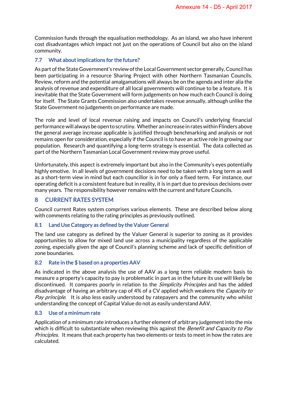Commission funds through the equalisation methodology. As an island, we also have inherent cost disadvantages which impact not just on the operations of Council but also on the island community.

#### 7.7 What about implications for the future?

As part of the State Government's review of the Local Government sector generally, Council has been participating in a resource Sharing Project with other Northern Tasmanian Councils. Review, reform and the potential amalgamations will always be on the agenda and inter alia the analysis of revenue and expenditure of all local governments will continue to be a feature. It is inevitable that the State Government will form judgements on how much each Council is doing for itself. The State Grants Commission also undertakes revenue annually, although unlike the State Government no judgements on performance are made.

The role and level of local revenue raising and impacts on Council's underlying financial performance will always be open to scrutiny. Whether an increase in rates within Flinders above the general average increase applicable is justified through benchmarking and analysis or not remains open for consideration, especially if the Council is to have an active role in growing our population. Research and quantifying a long-term strategy is essential. The data collected as part of the Northern Tasmanian Local Government review may prove useful.

Unfortunately, this aspect is extremely important but also in the Community's eyes potentially highly emotive. In all levels of government decisions need to be taken with a long term as well as a short-term view in mind but each councillor is in for only a fixed term. For instance, our operating deficit is a consistent feature but in reality, it is in part due to previous decisions over many years. The responsibility however remains with the current and future Councils.

### 8 CURRENT RATES SYSTEM

Council current Rates system comprises various elements. These are described below along with comments relating to the rating principles as previously outlined.

#### 8.1 Land Use Category as defined by the Valuer General

The land use category as defined by the Valuer General is superior to zoning as it provides opportunities to allow for mixed land use across a municipality regardless of the applicable zoning, especially given the age of Council's planning scheme and lack of specific definition of zone boundaries.

#### 8.2 Rate in the \$ based on a properties AAV

As indicated in the above analysis the use of AAV as a long term reliable modern basis to measure a property's capacity to pay is problematic in part as in the future its use will likely be discontinued. It compares poorly in relation to the *Simplicity Principles* and has the added disadvantage of having an arbitrary cap of 4% of a CV applied which weakens the *Capacity to* Pay principle. It is also less easily understood by ratepayers and the community who whilst understanding the concept of Capital Value do not as easily understand AAV.

#### 8.3 Use of a minimum rate

Application of a minimum rate introduces a further element of arbitrary judgement into the mix which is difficult to substantiate when reviewing this against the *Benefit and Capacity to Pay* Principles. It means that each property has two elements or tests to meet in how the rates are calculated.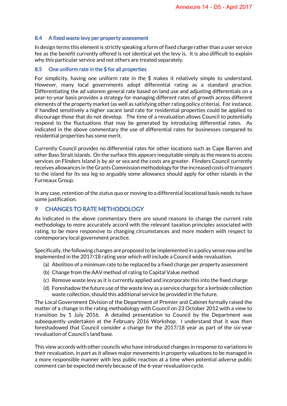#### 8.4 A fixed waste levy per property assessment

In design terms this element is strictly speaking a form of fixed charge rather than a user service fee as the benefit currently offered is not identical yet the levy is. It is also difficult to explain why this particular service and not others are treated separately.

#### 8.5 One uniform rate in the \$ for all properties

For simplicity, having one uniform rate in the \$ makes it relatively simple to understand. However, many local governments adopt differential rating as a standard practice. Differentiating the ad valorem general rate based on land use and adjusting differentials on a year-to-year basis provides a strategy for managing different rates of growth across different elements of the property market (as well as satisfying other rating policy criteria). For instance, if handled sensitively a higher vacant land rate for residential properties could be applied to discourage those that do not develop. The time of a revaluation allows Council to potentially respond to the fluctuations that may be generated by introducing differential rates. As indicated in the above commentary the use of differential rates for businesses compared to residential properties has some merit.

Currently Council provides no differential rates for other locations such as Cape Barren and other Bass Strait islands. On the surface this appears inequitable simply as the means to access services on Flinders Island is by air or sea and the costs are greater. Flinders Council currently receives allowances in the Grants Commission methodology for the increased costs of transport to the island for its sea leg so arguably some allowance should apply for other islands in the Furneaux Group.

In any case, retention of the status quo or moving to a differential locational basis needs to have some justification.

## 9 CHANGES TO RATE METHODOLOGY

As indicated in the above commentary there are sound reasons to change the current rate methodology to more accurately accord with the relevant taxation principles associated with rating, to be more responsive to changing circumstances and more modern with respect to contemporary local government practice.

Specifically, the following changes are proposed to be implemented in a policy sense now and be implemented in the 2017/18 rating year which will include a Council wide revaluation.

- (a) Abolition of a minimum rate to be replaced by a fixed charge per property assessment
- (b) Change from the AAV method of rating to Capital Value method
- (c) Remove waste levy as it is currently applied and incorporate this into the fixed charge
- (d) Foreshadow the future use of the waste levy as a service charge for a kerbside collection waste collection, should this additional service be provided in the future.

The Local Government Division of the Department of Premier and Cabinet formally raised the matter of a change in the rating methodology with Council on 23 October 2012 with a view to transition by 1 July 2016. A detailed presentation to Council by the Department was subsequently undertaken at the February 2016 Workshop. I understand that it was then foreshadowed that Council consider a change for the 2017/18 year as part of the six-year revaluation of Council's land base.

This view accords with other councils who have introduced changes in response to variations in their revaluation, in part as it allows major movements in property valuations to be managed in a more responsible manner with less public reaction at a time when potential adverse public comment can be expected merely because of the 6-year revaluation cycle.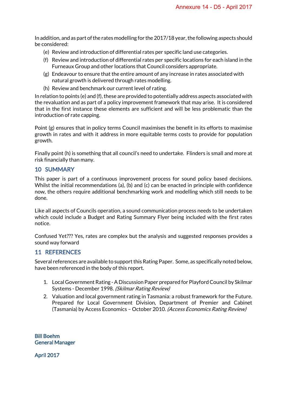In addition, and as part of the rates modelling for the 2017/18 year, the following aspects should be considered:

- (e) Review and introduction of differential rates per specific land use categories.
- (f) Review and introduction of differential rates per specific locations for each island in the Furneaux Group and other locations that Council considers appropriate.
- (g) Endeavour to ensure that the entire amount of any increase in rates associated with natural growth is delivered through rates modelling.
- (h) Review and benchmark our current level of rating.

In relation to points (e) and (f), these are provided to potentially address aspects associated with the revaluation and as part of a policy improvement framework that may arise. It is considered that in the first instance these elements are sufficient and will be less problematic than the introduction of rate capping.

Point (g) ensures that in policy terms Council maximises the benefit in its efforts to maximise growth in rates and with it address in more equitable terms costs to provide for population growth.

Finally point (h) is something that all council's need to undertake. Flinders is small and more at risk financially than many.

#### 10 SUMMARY

This paper is part of a continuous improvement process for sound policy based decisions. Whilst the initial recommendations (a), (b) and (c) can be enacted in principle with confidence now, the others require additional benchmarking work and modelling which still needs to be done.

Like all aspects of Councils operation, a sound communication process needs to be undertaken which could include a Budget and Rating Summary Flyer being included with the first rates notice.

Confused Yet??? Yes, rates are complex but the analysis and suggested responses provides a sound way forward

#### 11 REFERENCES

Several references are available to support this Rating Paper. Some, as specifically noted below, have been referenced in the body of this report.

- 1. Local Government Rating -A Discussion Paper prepared for Playford Council by Skilmar Systems - December 1998. (Skilmar Rating Review)
- 2. Valuation and local government rating in Tasmania: a robust framework for the Future. Prepared for Local Government Division, Department of Premier and Cabinet (Tasmania) by Access Economics – October 2010. (Access Economics Rating Review)

Bill Boehm General Manager

April 2017